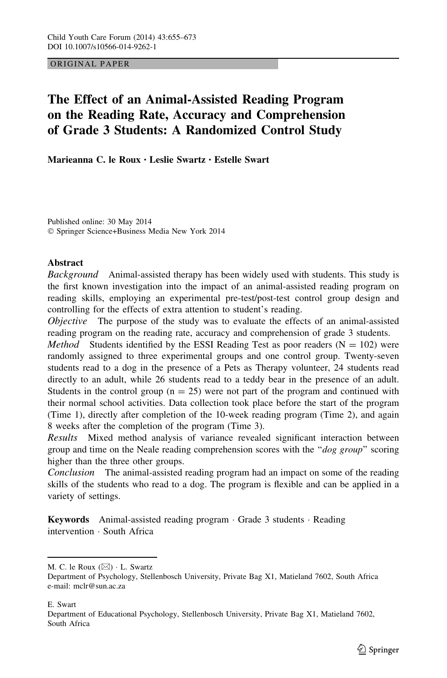## ORIGINAL PAPER

# The Effect of an Animal-Assisted Reading Program on the Reading Rate, Accuracy and Comprehension of Grade 3 Students: A Randomized Control Study

Marieanna C. le Roux • Leslie Swartz • Estelle Swart

Published online: 30 May 2014 - Springer Science+Business Media New York 2014

## **Abstract**

Background Animal-assisted therapy has been widely used with students. This study is the first known investigation into the impact of an animal-assisted reading program on reading skills, employing an experimental pre-test/post-test control group design and controlling for the effects of extra attention to student's reading.

Objective The purpose of the study was to evaluate the effects of an animal-assisted reading program on the reading rate, accuracy and comprehension of grade 3 students.

*Method* Students identified by the ESSI Reading Test as poor readers ( $N = 102$ ) were randomly assigned to three experimental groups and one control group. Twenty-seven students read to a dog in the presence of a Pets as Therapy volunteer, 24 students read directly to an adult, while 26 students read to a teddy bear in the presence of an adult. Students in the control group  $(n = 25)$  were not part of the program and continued with their normal school activities. Data collection took place before the start of the program (Time 1), directly after completion of the 10-week reading program (Time 2), and again 8 weeks after the completion of the program (Time 3).

Results Mixed method analysis of variance revealed significant interaction between group and time on the Neale reading comprehension scores with the " $dog\, group$ " scoring higher than the three other groups.

Conclusion The animal-assisted reading program had an impact on some of the reading skills of the students who read to a dog. The program is flexible and can be applied in a variety of settings.

Keywords Animal-assisted reading program · Grade 3 students · Reading intervention - South Africa

E. Swart

M. C. le Roux  $(\boxtimes) \cdot$  L. Swartz

Department of Psychology, Stellenbosch University, Private Bag X1, Matieland 7602, South Africa e-mail: mclr@sun.ac.za

Department of Educational Psychology, Stellenbosch University, Private Bag X1, Matieland 7602, South Africa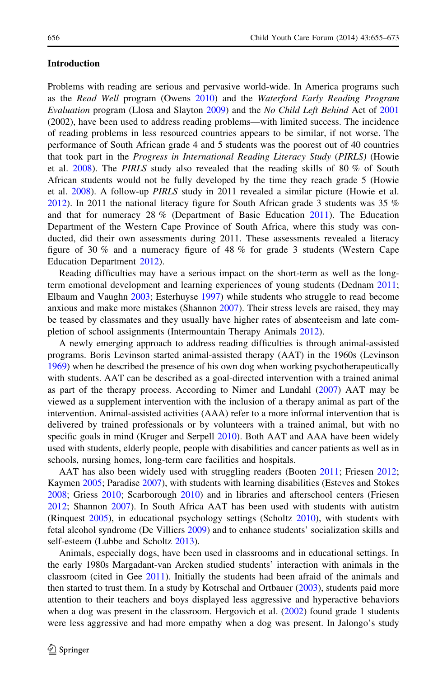## Introduction

Problems with reading are serious and pervasive world-wide. In America programs such as the Read Well program (Owens [2010](#page-17-0)) and the Waterford Early Reading Program Evaluation program (Llosa and Slayton [2009\)](#page-17-0) and the No Child Left Behind Act of [2001](#page-17-0) (2002), have been used to address reading problems—with limited success. The incidence of reading problems in less resourced countries appears to be similar, if not worse. The performance of South African grade 4 and 5 students was the poorest out of 40 countries that took part in the Progress in International Reading Literacy Study (PIRLS) (Howie et al.  $2008$ ). The PIRLS study also revealed that the reading skills of 80 % of South African students would not be fully developed by the time they reach grade 5 (Howie et al. [2008](#page-16-0)). A follow-up PIRLS study in 2011 revealed a similar picture (Howie et al. [2012\)](#page-16-0). In 2011 the national literacy figure for South African grade 3 students was 35 % and that for numeracy 28 % (Department of Basic Education [2011\)](#page-16-0). The Education Department of the Western Cape Province of South Africa, where this study was conducted, did their own assessments during 2011. These assessments revealed a literacy figure of 30 % and a numeracy figure of 48 % for grade 3 students (Western Cape Education Department [2012](#page-18-0)).

Reading difficulties may have a serious impact on the short-term as well as the longterm emotional development and learning experiences of young students (Dednam [2011;](#page-16-0) Elbaum and Vaughn [2003;](#page-16-0) Esterhuyse [1997\)](#page-16-0) while students who struggle to read become anxious and make more mistakes (Shannon [2007\)](#page-18-0). Their stress levels are raised, they may be teased by classmates and they usually have higher rates of absenteeism and late completion of school assignments (Intermountain Therapy Animals [2012\)](#page-16-0).

A newly emerging approach to address reading difficulties is through animal-assisted programs. Boris Levinson started animal-assisted therapy (AAT) in the 1960s (Levinson [1969\)](#page-17-0) when he described the presence of his own dog when working psychotherapeutically with students. AAT can be described as a goal-directed intervention with a trained animal as part of the therapy process. According to Nimer and Lundahl [\(2007](#page-17-0)) AAT may be viewed as a supplement intervention with the inclusion of a therapy animal as part of the intervention. Animal-assisted activities (AAA) refer to a more informal intervention that is delivered by trained professionals or by volunteers with a trained animal, but with no specific goals in mind (Kruger and Serpell [2010\)](#page-17-0). Both AAT and AAA have been widely used with students, elderly people, people with disabilities and cancer patients as well as in schools, nursing homes, long-term care facilities and hospitals.

AAT has also been widely used with struggling readers (Booten [2011;](#page-15-0) Friesen [2012;](#page-16-0) Kaymen [2005](#page-17-0); Paradise [2007](#page-17-0)), with students with learning disabilities (Esteves and Stokes [2008;](#page-16-0) Griess [2010](#page-16-0); Scarborough [2010\)](#page-18-0) and in libraries and afterschool centers (Friesen [2012;](#page-16-0) Shannon [2007](#page-18-0)). In South Africa AAT has been used with students with autistm (Rinquest [2005\)](#page-18-0), in educational psychology settings (Scholtz [2010](#page-18-0)), with students with fetal alcohol syndrome (De Villiers [2009](#page-16-0)) and to enhance students' socialization skills and self-esteem (Lubbe and Scholtz [2013](#page-17-0)).

Animals, especially dogs, have been used in classrooms and in educational settings. In the early 1980s Margadant-van Arcken studied students' interaction with animals in the classroom (cited in Gee [2011\)](#page-16-0). Initially the students had been afraid of the animals and then started to trust them. In a study by Kotrschal and Ortbauer ([2003\)](#page-17-0), students paid more attention to their teachers and boys displayed less aggressive and hyperactive behaviors when a dog was present in the classroom. Hergovich et al. ([2002\)](#page-16-0) found grade 1 students were less aggressive and had more empathy when a dog was present. In Jalongo's study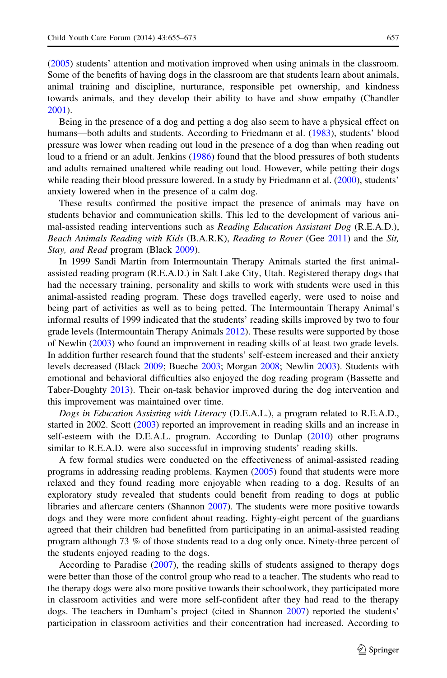([2005\)](#page-16-0) students' attention and motivation improved when using animals in the classroom. Some of the benefits of having dogs in the classroom are that students learn about animals, animal training and discipline, nurturance, responsible pet ownership, and kindness towards animals, and they develop their ability to have and show empathy (Chandler [2001\)](#page-15-0).

Being in the presence of a dog and petting a dog also seem to have a physical effect on humans—both adults and students. According to Friedmann et al. ([1983](#page-16-0)), students' blood pressure was lower when reading out loud in the presence of a dog than when reading out loud to a friend or an adult. Jenkins ([1986\)](#page-17-0) found that the blood pressures of both students and adults remained unaltered while reading out loud. However, while petting their dogs while reading their blood pressure lowered. In a study by Friedmann et al. ([2000\)](#page-16-0), students' anxiety lowered when in the presence of a calm dog.

These results confirmed the positive impact the presence of animals may have on students behavior and communication skills. This led to the development of various animal-assisted reading interventions such as *Reading Education Assistant Dog* (R.E.A.D.), Beach Animals Reading with Kids (B.A.R.K), Reading to Rover (Gee [2011\)](#page-16-0) and the Sit, Stay, and Read program (Black [2009](#page-15-0)).

In 1999 Sandi Martin from Intermountain Therapy Animals started the first animalassisted reading program (R.E.A.D.) in Salt Lake City, Utah. Registered therapy dogs that had the necessary training, personality and skills to work with students were used in this animal-assisted reading program. These dogs travelled eagerly, were used to noise and being part of activities as well as to being petted. The Intermountain Therapy Animal's informal results of 1999 indicated that the students' reading skills improved by two to four grade levels (Intermountain Therapy Animals [2012\)](#page-16-0). These results were supported by those of Newlin ([2003\)](#page-17-0) who found an improvement in reading skills of at least two grade levels. In addition further research found that the students' self-esteem increased and their anxiety levels decreased (Black [2009](#page-15-0); Bueche [2003](#page-15-0); Morgan [2008](#page-17-0); Newlin [2003](#page-17-0)). Students with emotional and behavioral difficulties also enjoyed the dog reading program (Bassette and Taber-Doughty [2013\)](#page-15-0). Their on-task behavior improved during the dog intervention and this improvement was maintained over time.

Dogs in Education Assisting with Literacy (D.E.A.L.), a program related to R.E.A.D., started in 2002. Scott ([2003](#page-18-0)) reported an improvement in reading skills and an increase in self-esteem with the D.E.A.L. program. According to Dunlap [\(2010](#page-16-0)) other programs similar to R.E.A.D. were also successful in improving students' reading skills.

A few formal studies were conducted on the effectiveness of animal-assisted reading programs in addressing reading problems. Kaymen [\(2005\)](#page-17-0) found that students were more relaxed and they found reading more enjoyable when reading to a dog. Results of an exploratory study revealed that students could benefit from reading to dogs at public libraries and aftercare centers (Shannon [2007](#page-18-0)). The students were more positive towards dogs and they were more confident about reading. Eighty-eight percent of the guardians agreed that their children had benefitted from participating in an animal-assisted reading program although 73 % of those students read to a dog only once. Ninety-three percent of the students enjoyed reading to the dogs.

According to Paradise [\(2007](#page-17-0)), the reading skills of students assigned to therapy dogs were better than those of the control group who read to a teacher. The students who read to the therapy dogs were also more positive towards their schoolwork, they participated more in classroom activities and were more self-confident after they had read to the therapy dogs. The teachers in Dunham's project (cited in Shannon [2007\)](#page-18-0) reported the students' participation in classroom activities and their concentration had increased. According to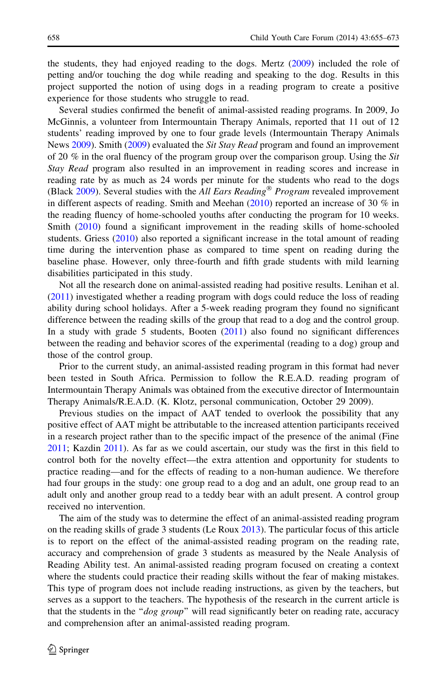the students, they had enjoyed reading to the dogs. Mertz ([2009\)](#page-17-0) included the role of petting and/or touching the dog while reading and speaking to the dog. Results in this project supported the notion of using dogs in a reading program to create a positive experience for those students who struggle to read.

Several studies confirmed the benefit of animal-assisted reading programs. In 2009, Jo McGinnis, a volunteer from Intermountain Therapy Animals, reported that 11 out of 12 students' reading improved by one to four grade levels (Intermountain Therapy Animals News [2009\)](#page-16-0). Smith ([2009](#page-18-0)) evaluated the Sit Stay Read program and found an improvement of 20 % in the oral fluency of the program group over the comparison group. Using the Sit Stay Read program also resulted in an improvement in reading scores and increase in reading rate by as much as 24 words per minute for the students who read to the dogs (Black  $2009$ ). Several studies with the All Ears Reading<sup>®</sup> Program revealed improvement in different aspects of reading. Smith and Meehan  $(2010)$  $(2010)$  reported an increase of 30 % in the reading fluency of home-schooled youths after conducting the program for 10 weeks. Smith ([2010\)](#page-18-0) found a significant improvement in the reading skills of home-schooled students. Griess ([2010\)](#page-16-0) also reported a significant increase in the total amount of reading time during the intervention phase as compared to time spent on reading during the baseline phase. However, only three-fourth and fifth grade students with mild learning disabilities participated in this study.

Not all the research done on animal-assisted reading had positive results. Lenihan et al. ([2011\)](#page-17-0) investigated whether a reading program with dogs could reduce the loss of reading ability during school holidays. After a 5-week reading program they found no significant difference between the reading skills of the group that read to a dog and the control group. In a study with grade 5 students, Booten [\(2011](#page-15-0)) also found no significant differences between the reading and behavior scores of the experimental (reading to a dog) group and those of the control group.

Prior to the current study, an animal-assisted reading program in this format had never been tested in South Africa. Permission to follow the R.E.A.D. reading program of Intermountain Therapy Animals was obtained from the executive director of Intermountain Therapy Animals/R.E.A.D. (K. Klotz, personal communication, October 29 2009).

Previous studies on the impact of AAT tended to overlook the possibility that any positive effect of AAT might be attributable to the increased attention participants received in a research project rather than to the specific impact of the presence of the animal (Fine [2011;](#page-16-0) Kazdin [2011](#page-17-0)). As far as we could ascertain, our study was the first in this field to control both for the novelty effect—the extra attention and opportunity for students to practice reading—and for the effects of reading to a non-human audience. We therefore had four groups in the study: one group read to a dog and an adult, one group read to an adult only and another group read to a teddy bear with an adult present. A control group received no intervention.

The aim of the study was to determine the effect of an animal-assisted reading program on the reading skills of grade 3 students (Le Roux [2013](#page-17-0)). The particular focus of this article is to report on the effect of the animal-assisted reading program on the reading rate, accuracy and comprehension of grade 3 students as measured by the Neale Analysis of Reading Ability test. An animal-assisted reading program focused on creating a context where the students could practice their reading skills without the fear of making mistakes. This type of program does not include reading instructions, as given by the teachers, but serves as a support to the teachers. The hypothesis of the research in the current article is that the students in the " $dog\ group$ " will read significantly beter on reading rate, accuracy and comprehension after an animal-assisted reading program.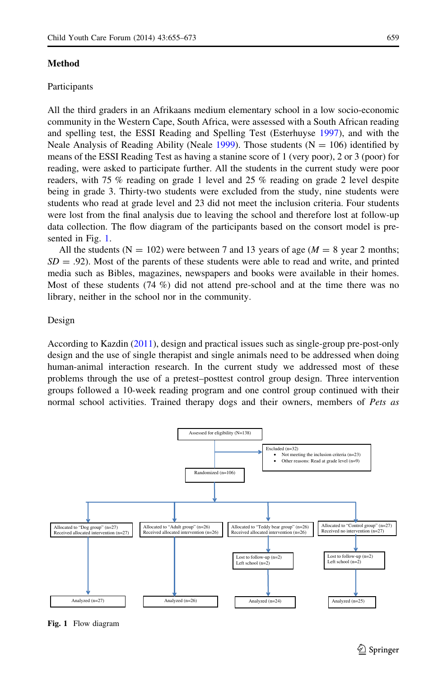## <span id="page-4-0"></span>Method

## Participants

All the third graders in an Afrikaans medium elementary school in a low socio-economic community in the Western Cape, South Africa, were assessed with a South African reading and spelling test, the ESSI Reading and Spelling Test (Esterhuyse [1997](#page-16-0)), and with the Neale Analysis of Reading Ability (Neale [1999](#page-17-0)). Those students  $(N = 106)$  identified by means of the ESSI Reading Test as having a stanine score of 1 (very poor), 2 or 3 (poor) for

reading, were asked to participate further. All the students in the current study were poor readers, with 75 % reading on grade 1 level and 25 % reading on grade 2 level despite being in grade 3. Thirty-two students were excluded from the study, nine students were students who read at grade level and 23 did not meet the inclusion criteria. Four students were lost from the final analysis due to leaving the school and therefore lost at follow-up data collection. The flow diagram of the participants based on the consort model is presented in Fig. 1.

All the students ( $N = 102$ ) were between 7 and 13 years of age ( $M = 8$  year 2 months;  $SD = .92$ ). Most of the parents of these students were able to read and write, and printed media such as Bibles, magazines, newspapers and books were available in their homes. Most of these students (74 %) did not attend pre-school and at the time there was no library, neither in the school nor in the community.

#### Design

According to Kazdin ([2011\)](#page-17-0), design and practical issues such as single-group pre-post-only design and the use of single therapist and single animals need to be addressed when doing human-animal interaction research. In the current study we addressed most of these problems through the use of a pretest–posttest control group design. Three intervention groups followed a 10-week reading program and one control group continued with their normal school activities. Trained therapy dogs and their owners, members of Pets as



Fig. 1 Flow diagram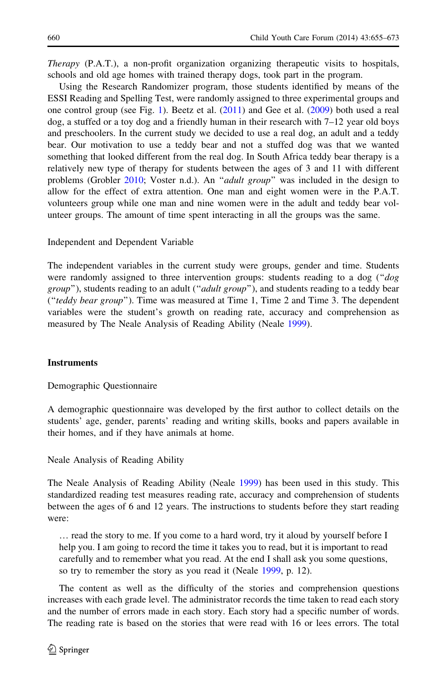Therapy (P.A.T.), a non-profit organization organizing therapeutic visits to hospitals, schools and old age homes with trained therapy dogs, took part in the program.

Using the Research Randomizer program, those students identified by means of the ESSI Reading and Spelling Test, were randomly assigned to three experimental groups and one control group (see Fig. [1](#page-4-0)). Beetz et al. [\(2011](#page-15-0)) and Gee et al. [\(2009](#page-16-0)) both used a real dog, a stuffed or a toy dog and a friendly human in their research with 7–12 year old boys and preschoolers. In the current study we decided to use a real dog, an adult and a teddy bear. Our motivation to use a teddy bear and not a stuffed dog was that we wanted something that looked different from the real dog. In South Africa teddy bear therapy is a relatively new type of therapy for students between the ages of 3 and 11 with different problems (Grobler [2010](#page-16-0); Voster n.d.). An "adult group" was included in the design to allow for the effect of extra attention. One man and eight women were in the P.A.T. volunteers group while one man and nine women were in the adult and teddy bear volunteer groups. The amount of time spent interacting in all the groups was the same.

## Independent and Dependent Variable

The independent variables in the current study were groups, gender and time. Students were randomly assigned to three intervention groups: students reading to a dog ("dog group"), students reading to an adult ("adult group"), and students reading to a teddy bear (''teddy bear group''). Time was measured at Time 1, Time 2 and Time 3. The dependent variables were the student's growth on reading rate, accuracy and comprehension as measured by The Neale Analysis of Reading Ability (Neale [1999\)](#page-17-0).

## **Instruments**

Demographic Questionnaire

A demographic questionnaire was developed by the first author to collect details on the students' age, gender, parents' reading and writing skills, books and papers available in their homes, and if they have animals at home.

Neale Analysis of Reading Ability

The Neale Analysis of Reading Ability (Neale [1999](#page-17-0)) has been used in this study. This standardized reading test measures reading rate, accuracy and comprehension of students between the ages of 6 and 12 years. The instructions to students before they start reading were:

… read the story to me. If you come to a hard word, try it aloud by yourself before I help you. I am going to record the time it takes you to read, but it is important to read carefully and to remember what you read. At the end I shall ask you some questions, so try to remember the story as you read it (Neale [1999](#page-17-0), p. 12).

The content as well as the difficulty of the stories and comprehension questions increases with each grade level. The administrator records the time taken to read each story and the number of errors made in each story. Each story had a specific number of words. The reading rate is based on the stories that were read with 16 or lees errors. The total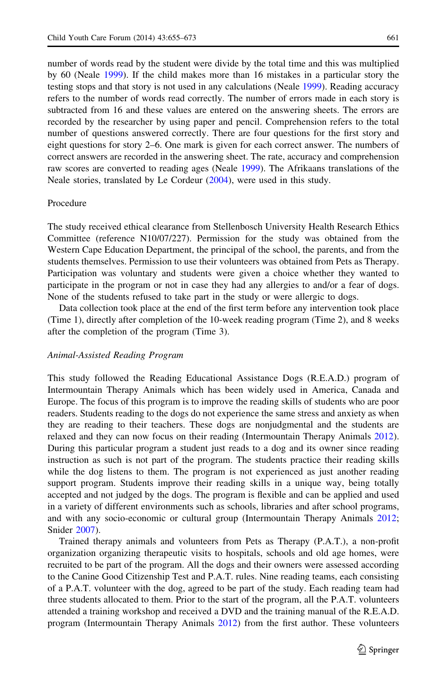number of words read by the student were divide by the total time and this was multiplied by 60 (Neale [1999\)](#page-17-0). If the child makes more than 16 mistakes in a particular story the testing stops and that story is not used in any calculations (Neale [1999](#page-17-0)). Reading accuracy refers to the number of words read correctly. The number of errors made in each story is subtracted from 16 and these values are entered on the answering sheets. The errors are recorded by the researcher by using paper and pencil. Comprehension refers to the total number of questions answered correctly. There are four questions for the first story and eight questions for story 2–6. One mark is given for each correct answer. The numbers of correct answers are recorded in the answering sheet. The rate, accuracy and comprehension raw scores are converted to reading ages (Neale [1999\)](#page-17-0). The Afrikaans translations of the Neale stories, translated by Le Cordeur ([2004\)](#page-17-0), were used in this study.

## Procedure

The study received ethical clearance from Stellenbosch University Health Research Ethics Committee (reference N10/07/227). Permission for the study was obtained from the Western Cape Education Department, the principal of the school, the parents, and from the students themselves. Permission to use their volunteers was obtained from Pets as Therapy. Participation was voluntary and students were given a choice whether they wanted to participate in the program or not in case they had any allergies to and/or a fear of dogs. None of the students refused to take part in the study or were allergic to dogs.

Data collection took place at the end of the first term before any intervention took place (Time 1), directly after completion of the 10-week reading program (Time 2), and 8 weeks after the completion of the program (Time 3).

#### Animal-Assisted Reading Program

This study followed the Reading Educational Assistance Dogs (R.E.A.D.) program of Intermountain Therapy Animals which has been widely used in America, Canada and Europe. The focus of this program is to improve the reading skills of students who are poor readers. Students reading to the dogs do not experience the same stress and anxiety as when they are reading to their teachers. These dogs are nonjudgmental and the students are relaxed and they can now focus on their reading (Intermountain Therapy Animals [2012](#page-16-0)). During this particular program a student just reads to a dog and its owner since reading instruction as such is not part of the program. The students practice their reading skills while the dog listens to them. The program is not experienced as just another reading support program. Students improve their reading skills in a unique way, being totally accepted and not judged by the dogs. The program is flexible and can be applied and used in a variety of different environments such as schools, libraries and after school programs, and with any socio-economic or cultural group (Intermountain Therapy Animals [2012;](#page-16-0) Snider [2007\)](#page-18-0).

Trained therapy animals and volunteers from Pets as Therapy (P.A.T.), a non-profit organization organizing therapeutic visits to hospitals, schools and old age homes, were recruited to be part of the program. All the dogs and their owners were assessed according to the Canine Good Citizenship Test and P.A.T. rules. Nine reading teams, each consisting of a P.A.T. volunteer with the dog, agreed to be part of the study. Each reading team had three students allocated to them. Prior to the start of the program, all the P.A.T. volunteers attended a training workshop and received a DVD and the training manual of the R.E.A.D. program (Intermountain Therapy Animals [2012](#page-16-0)) from the first author. These volunteers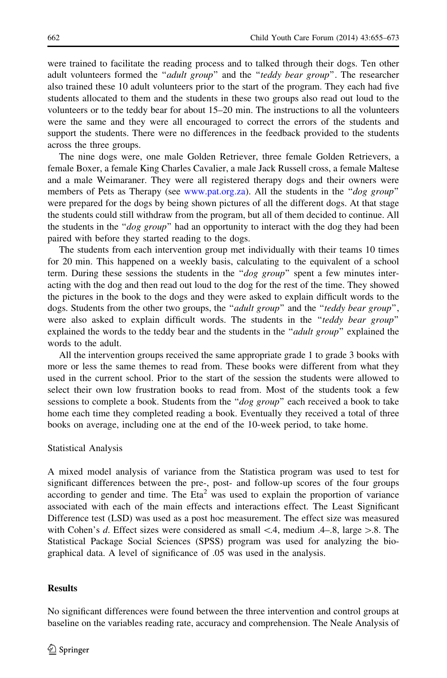were trained to facilitate the reading process and to talked through their dogs. Ten other adult volunteers formed the "*adult group*" and the "teddy bear group". The researcher also trained these 10 adult volunteers prior to the start of the program. They each had five students allocated to them and the students in these two groups also read out loud to the volunteers or to the teddy bear for about 15–20 min. The instructions to all the volunteers were the same and they were all encouraged to correct the errors of the students and support the students. There were no differences in the feedback provided to the students across the three groups.

The nine dogs were, one male Golden Retriever, three female Golden Retrievers, a female Boxer, a female King Charles Cavalier, a male Jack Russell cross, a female Maltese and a male Weimaraner. They were all registered therapy dogs and their owners were members of Pets as Therapy (see [www.pat.org.za](http://www.pat.org.za)). All the students in the "dog group" were prepared for the dogs by being shown pictures of all the different dogs. At that stage the students could still withdraw from the program, but all of them decided to continue. All the students in the " $dog\ group$ " had an opportunity to interact with the dog they had been paired with before they started reading to the dogs.

The students from each intervention group met individually with their teams 10 times for 20 min. This happened on a weekly basis, calculating to the equivalent of a school term. During these sessions the students in the " $dog\ group$ " spent a few minutes interacting with the dog and then read out loud to the dog for the rest of the time. They showed the pictures in the book to the dogs and they were asked to explain difficult words to the dogs. Students from the other two groups, the "adult group" and the "teddy bear group", were also asked to explain difficult words. The students in the "teddy bear group" explained the words to the teddy bear and the students in the "*adult group*" explained the words to the adult.

All the intervention groups received the same appropriate grade 1 to grade 3 books with more or less the same themes to read from. These books were different from what they used in the current school. Prior to the start of the session the students were allowed to select their own low frustration books to read from. Most of the students took a few sessions to complete a book. Students from the "dog group" each received a book to take home each time they completed reading a book. Eventually they received a total of three books on average, including one at the end of the 10-week period, to take home.

## Statistical Analysis

A mixed model analysis of variance from the Statistica program was used to test for significant differences between the pre-, post- and follow-up scores of the four groups according to gender and time. The Eta<sup>2</sup> was used to explain the proportion of variance associated with each of the main effects and interactions effect. The Least Significant Difference test (LSD) was used as a post hoc measurement. The effect size was measured with Cohen's d. Effect sizes were considered as small  $\lt$  4, medium .4–.8, large  $\gt$  8. The Statistical Package Social Sciences (SPSS) program was used for analyzing the biographical data. A level of significance of .05 was used in the analysis.

#### Results

No significant differences were found between the three intervention and control groups at baseline on the variables reading rate, accuracy and comprehension. The Neale Analysis of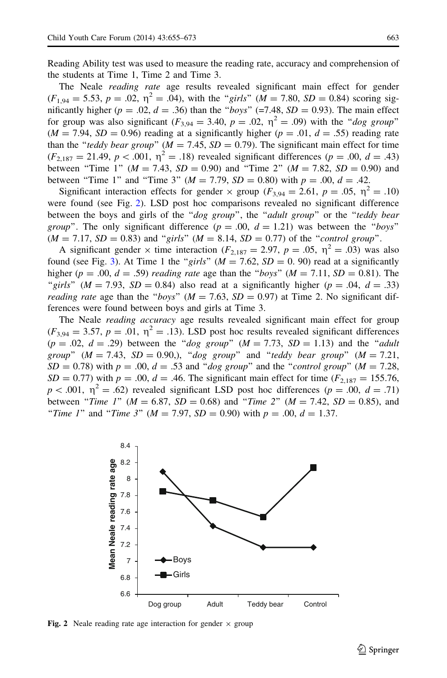Reading Ability test was used to measure the reading rate, accuracy and comprehension of the students at Time 1, Time 2 and Time 3.

The Neale reading rate age results revealed significant main effect for gender  $(F_{1,94} = 5.53, p = .02, \eta^2 = .04)$ , with the "girls"  $(M = 7.80, SD = 0.84)$  scoring significantly higher ( $p = .02$ ,  $d = .36$ ) than the "boys" (=7.48, SD = 0.93). The main effect for group was also significant  $(F_{3,94} = 3.40, p = .02, \eta^2 = .09)$  with the "dog group"  $(M = 7.94, SD = 0.96)$  reading at a significantly higher  $(p = .01, d = .55)$  reading rate than the "teddy bear group" ( $M = 7.45$ ,  $SD = 0.79$ ). The significant main effect for time  $(F_{2,187} = 21.49, p < .001, \eta^2 = .18)$  revealed significant differences (p = .00, d = .43) between "Time 1" ( $M = 7.43$ ,  $SD = 0.90$ ) and "Time 2" ( $M = 7.82$ ,  $SD = 0.90$ ) and between "Time 1" and "Time 3" ( $M = 7.79$ ,  $SD = 0.80$ ) with  $p = .00$ ,  $d = .42$ .

Significant interaction effects for gender  $\times$  group ( $F_{3,94} = 2.61$ ,  $p = .05$ ,  $p^2 = .10$ ) were found (see Fig. 2). LSD post hoc comparisons revealed no significant difference between the boys and girls of the "dog group", the "adult group" or the "teddy bear *group*". The only significant difference  $(p = .00, d = 1.21)$  was between the "boys"  $(M = 7.17, SD = 0.83)$  and "girls"  $(M = 8.14, SD = 0.77)$  of the "control group".

A significant gender  $\times$  time interaction ( $F_{2,187} = 2.97$ ,  $p = .05$ ,  $\eta^2 = .03$ ) was also found (see Fig. [3](#page-9-0)). At Time 1 the "girls" ( $M = 7.62$ ,  $SD = 0.90$ ) read at a significantly higher ( $p = .00$ ,  $d = .59$ ) reading rate age than the "boys" ( $M = 7.11$ ,  $SD = 0.81$ ). The "girls" ( $M = 7.93$ ,  $SD = 0.84$ ) also read at a significantly higher ( $p = .04$ ,  $d = .33$ ) *reading rate* age than the "boys" ( $M = 7.63$ ,  $SD = 0.97$ ) at Time 2. No significant differences were found between boys and girls at Time 3.

The Neale *reading accuracy* age results revealed significant main effect for group  $(F_{3,94} = 3.57, p = .01, \eta^2 = .13)$ . LSD post hoc results revealed significant differences  $(p = .02, d = .29)$  between the "dog group"  $(M = 7.73, SD = 1.13)$  and the "adult" group"  $(M = 7.43, SD = 0.90)$ , "dog group" and "teddy bear group"  $(M = 7.21,$  $SD = 0.78$ ) with  $p = .00$ ,  $d = .53$  and "dog group" and the "control group" ( $M = 7.28$ ,  $SD = 0.77$ ) with  $p = .00$ ,  $d = .46$ . The significant main effect for time ( $F_{2,187} = 155.76$ ,  $p < .001$ ,  $\eta^2 = .62$ ) revealed significant LSD post hoc differences ( $p = .00$ ,  $d = .71$ ) between "Time 1" ( $M = 6.87$ ,  $SD = 0.68$ ) and "Time 2" ( $M = 7.42$ ,  $SD = 0.85$ ), and "Time 1" and "Time 3" ( $M = 7.97$ ,  $SD = 0.90$ ) with  $p = .00$ ,  $d = 1.37$ .



Fig. 2 Neale reading rate age interaction for gender  $\times$  group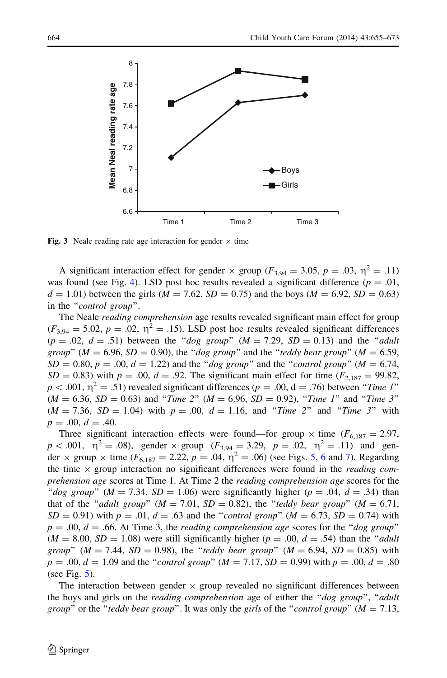<span id="page-9-0"></span>

Fig. 3 Neale reading rate age interaction for gender  $\times$  time

A significant interaction effect for gender  $\times$  group ( $F_{3,94} = 3.05$ ,  $p = .03$ ,  $\eta^2 = .11$ ) was found (see Fig. [4](#page-10-0)). LSD post hoc results revealed a significant difference ( $p = .01$ ,  $d = 1.01$ ) between the girls ( $M = 7.62$ ,  $SD = 0.75$ ) and the boys ( $M = 6.92$ ,  $SD = 0.63$ ) in the "control group".

The Neale *reading comprehension* age results revealed significant main effect for group  $(F_{3,94} = 5.02, p = .02, \eta^2 = .15)$ . LSD post hoc results revealed significant differences  $(p = .02, d = .51)$  between the "dog group"  $(M = 7.29, SD = 0.13)$  and the "adult" group" ( $M = 6.96$ ,  $SD = 0.90$ ), the "dog group" and the "teddy bear group" ( $M = 6.59$ ,  $SD = 0.80$ ,  $p = .00$ ,  $d = 1.22$ ) and the "dog group" and the "control group" ( $M = 6.74$ ,  $SD = 0.83$ ) with  $p = .00$ ,  $d = .92$ . The significant main effect for time ( $F_{2,187} = 99.82$ ,  $p < .001$ ,  $\eta^2 = .51$ ) revealed significant differences ( $p = .00$ , d = .76) between "Time 1"  $(M = 6.36, SD = 0.63)$  and "Time 2"  $(M = 6.96, SD = 0.92)$ , "Time 1" and "Time 3"  $(M = 7.36, SD = 1.04)$  with  $p = .00, d = 1.16, and "Time 2" and "Time 3" with$  $p = .00, d = .40.$ 

Three significant interaction effects were found—for group  $\times$  time ( $F_{6,187} = 2.97$ ,  $p < .001$ ,  $\eta^2 = .08$ ), gender  $\times$  group ( $F_{3,94} = 3.29$ ,  $p = .02$ ,  $\eta^2 = .11$ ) and gender  $\times$  group  $\times$  time (F<sub>[6](#page-11-0),187</sub> = 2.22, p = .04,  $\eta^2$  = .06) (see Figs. [5](#page-10-0), 6 and [7\)](#page-11-0). Regarding the time  $\times$  group interaction no significant differences were found in the *reading com*prehension age scores at Time 1. At Time 2 the reading comprehension age scores for the "dog group" ( $M = 7.34$ ,  $SD = 1.06$ ) were significantly higher ( $p = .04$ ,  $d = .34$ ) than that of the "adult group" ( $M = 7.01$ ,  $SD = 0.82$ ), the "teddy bear group" ( $M = 6.71$ ,  $SD = 0.91$ ) with  $p = .01$ ,  $d = .63$  and the "*control group*" ( $M = 6.73$ ,  $SD = 0.74$ ) with  $p = .00$ ,  $d = .66$ . At Time 3, the *reading comprehension age* scores for the "*dog group*"  $(M = 8.00, SD = 1.08)$  were still significantly higher  $(p = .00, d = .54)$  than the "*adult* group" ( $M = 7.44$ ,  $SD = 0.98$ ), the "teddy bear group" ( $M = 6.94$ ,  $SD = 0.85$ ) with  $p = .00, d = 1.09$  and the "*control group*" ( $M = 7.17, SD = 0.99$ ) with  $p = .00, d = .80$ (see Fig. [5](#page-10-0)).

The interaction between gender  $\times$  group revealed no significant differences between the boys and girls on the *reading comprehension* age of either the "*dog group*", "*adult* group" or the "teddy bear group". It was only the girls of the "control group" ( $M = 7.13$ ,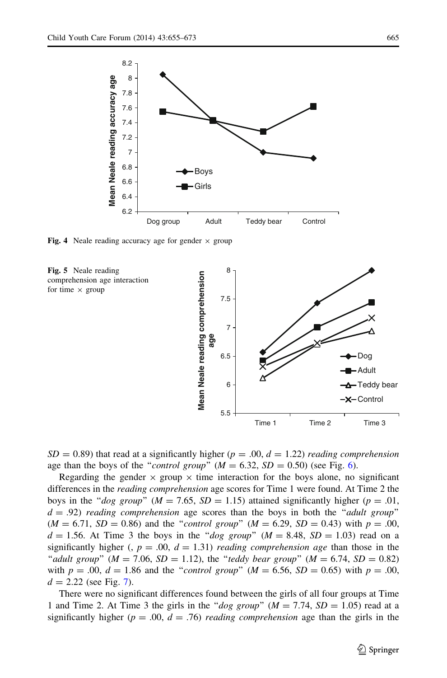<span id="page-10-0"></span>

Fig. 4 Neale reading accuracy age for gender  $\times$  group





 $SD = 0.89$ ) that read at a significantly higher ( $p = .00$ ,  $d = 1.22$ ) reading comprehension age than the boys of the "*control group*" ( $M = 6.32$ ,  $SD = 0.50$ ) (see Fig. [6\)](#page-11-0).

Regarding the gender  $\times$  group  $\times$  time interaction for the boys alone, no significant differences in the *reading comprehension* age scores for Time 1 were found. At Time 2 the boys in the "dog group" ( $M = 7.65$ ,  $SD = 1.15$ ) attained significantly higher ( $p = .01$ ,  $d = .92$ ) reading comprehension age scores than the boys in both the "adult group"  $(M = 6.71, SD = 0.86)$  and the "*control group*"  $(M = 6.29, SD = 0.43)$  with  $p = .00$ ,  $d = 1.56$ . At Time 3 the boys in the "dog group" ( $M = 8.48$ ,  $SD = 1.03$ ) read on a significantly higher (,  $p = .00$ ,  $d = 1.31$ ) reading comprehension age than those in the "adult group" ( $M = 7.06$ ,  $SD = 1.12$ ), the "teddy bear group" ( $M = 6.74$ ,  $SD = 0.82$ ) with  $p = .00$ ,  $d = 1.86$  and the "*control group*" ( $M = 6.56$ ,  $SD = 0.65$ ) with  $p = .00$ ,  $d = 2.22$  (see Fig. [7](#page-11-0)).

There were no significant differences found between the girls of all four groups at Time 1 and Time 2. At Time 3 the girls in the "dog group" ( $M = 7.74$ ,  $SD = 1.05$ ) read at a significantly higher ( $p = .00$ ,  $d = .76$ ) reading comprehension age than the girls in the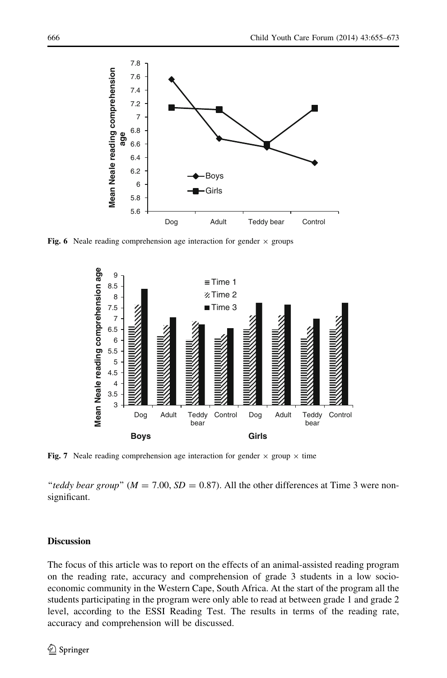<span id="page-11-0"></span>

Fig. 6 Neale reading comprehension age interaction for gender  $\times$  groups



Fig. 7 Neale reading comprehension age interaction for gender  $\times$  group  $\times$  time

"teddy bear group" ( $M = 7.00$ ,  $SD = 0.87$ ). All the other differences at Time 3 were nonsignificant.

# Discussion

The focus of this article was to report on the effects of an animal-assisted reading program on the reading rate, accuracy and comprehension of grade 3 students in a low socioeconomic community in the Western Cape, South Africa. At the start of the program all the students participating in the program were only able to read at between grade 1 and grade 2 level, according to the ESSI Reading Test. The results in terms of the reading rate, accuracy and comprehension will be discussed.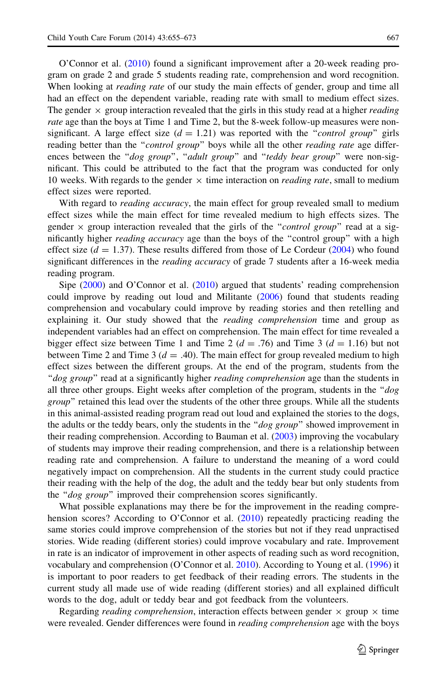O'Connor et al. ([2010\)](#page-17-0) found a significant improvement after a 20-week reading program on grade 2 and grade 5 students reading rate, comprehension and word recognition. When looking at *reading rate* of our study the main effects of gender, group and time all had an effect on the dependent variable, reading rate with small to medium effect sizes. The gender  $\times$  group interaction revealed that the girls in this study read at a higher *reading* rate age than the boys at Time 1 and Time 2, but the 8-week follow-up measures were nonsignificant. A large effect size  $(d = 1.21)$  was reported with the "*control group*" girls reading better than the "*control group*" boys while all the other *reading rate* age differences between the "dog group", "adult group" and "teddy bear group" were non-significant. This could be attributed to the fact that the program was conducted for only 10 weeks. With regards to the gender  $\times$  time interaction on *reading rate*, small to medium effect sizes were reported.

With regard to *reading accuracy*, the main effect for group revealed small to medium effect sizes while the main effect for time revealed medium to high effects sizes. The gender  $\times$  group interaction revealed that the girls of the "*control group*" read at a significantly higher *reading accuracy* age than the boys of the "control group" with a high effect size  $(d = 1.37)$ . These results differed from those of Le Cordeur [\(2004](#page-17-0)) who found significant differences in the *reading accuracy* of grade 7 students after a 16-week media reading program.

Sipe ([2000\)](#page-18-0) and O'Connor et al. [\(2010](#page-17-0)) argued that students' reading comprehension could improve by reading out loud and Militante ([2006\)](#page-17-0) found that students reading comprehension and vocabulary could improve by reading stories and then retelling and explaining it. Our study showed that the *reading comprehension* time and group as independent variables had an effect on comprehension. The main effect for time revealed a bigger effect size between Time 1 and Time 2 ( $d = .76$ ) and Time 3 ( $d = 1.16$ ) but not between Time 2 and Time 3 ( $d = .40$ ). The main effect for group revealed medium to high effect sizes between the different groups. At the end of the program, students from the "dog group" read at a significantly higher *reading comprehension* age than the students in all three other groups. Eight weeks after completion of the program, students in the " $dog$ group" retained this lead over the students of the other three groups. While all the students in this animal-assisted reading program read out loud and explained the stories to the dogs, the adults or the teddy bears, only the students in the " $dog\ group$ " showed improvement in their reading comprehension. According to Bauman et al. [\(2003](#page-15-0)) improving the vocabulary of students may improve their reading comprehension, and there is a relationship between reading rate and comprehension. A failure to understand the meaning of a word could negatively impact on comprehension. All the students in the current study could practice their reading with the help of the dog, the adult and the teddy bear but only students from the "dog group" improved their comprehension scores significantly.

What possible explanations may there be for the improvement in the reading compre-hension scores? According to O'Connor et al. ([2010\)](#page-17-0) repeatedly practicing reading the same stories could improve comprehension of the stories but not if they read unpractised stories. Wide reading (different stories) could improve vocabulary and rate. Improvement in rate is an indicator of improvement in other aspects of reading such as word recognition, vocabulary and comprehension (O'Connor et al. [2010](#page-17-0)). According to Young et al. ([1996\)](#page-18-0) it is important to poor readers to get feedback of their reading errors. The students in the current study all made use of wide reading (different stories) and all explained difficult words to the dog, adult or teddy bear and got feedback from the volunteers.

Regarding *reading comprehension*, interaction effects between gender  $\times$  group  $\times$  time were revealed. Gender differences were found in *reading comprehension* age with the boys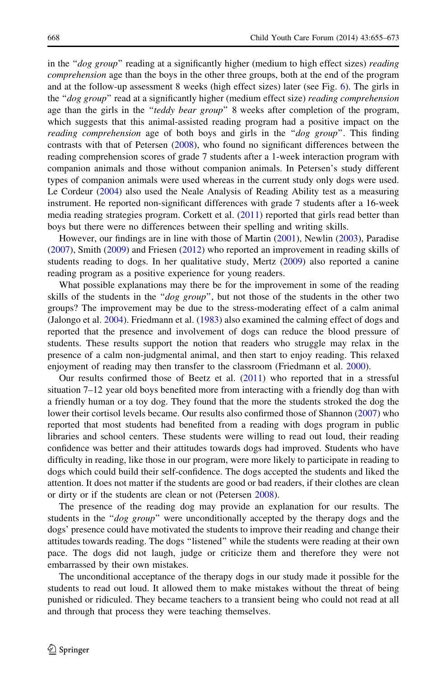in the "dog group" reading at a significantly higher (medium to high effect sizes) reading comprehension age than the boys in the other three groups, both at the end of the program and at the follow-up assessment 8 weeks (high effect sizes) later (see Fig. [6\)](#page-11-0). The girls in the "dog group" read at a significantly higher (medium effect size) reading comprehension age than the girls in the "teddy bear group" 8 weeks after completion of the program, which suggests that this animal-assisted reading program had a positive impact on the reading comprehension age of both boys and girls in the "dog group". This finding contrasts with that of Petersen ([2008\)](#page-18-0), who found no significant differences between the reading comprehension scores of grade 7 students after a 1-week interaction program with companion animals and those without companion animals. In Petersen's study different types of companion animals were used whereas in the current study only dogs were used. Le Cordeur ([2004\)](#page-17-0) also used the Neale Analysis of Reading Ability test as a measuring instrument. He reported non-significant differences with grade 7 students after a 16-week media reading strategies program. Corkett et al. [\(2011](#page-15-0)) reported that girls read better than boys but there were no differences between their spelling and writing skills.

However, our findings are in line with those of Martin [\(2001](#page-17-0)), Newlin [\(2003](#page-17-0)), Paradise ([2007\)](#page-17-0), Smith [\(2009](#page-18-0)) and Friesen [\(2012](#page-16-0)) who reported an improvement in reading skills of students reading to dogs. In her qualitative study, Mertz ([2009\)](#page-17-0) also reported a canine reading program as a positive experience for young readers.

What possible explanations may there be for the improvement in some of the reading skills of the students in the " $dog\ group$ ", but not those of the students in the other two groups? The improvement may be due to the stress-moderating effect of a calm animal (Jalongo et al. [2004](#page-17-0)). Friedmann et al. [\(1983](#page-16-0)) also examined the calming effect of dogs and reported that the presence and involvement of dogs can reduce the blood pressure of students. These results support the notion that readers who struggle may relax in the presence of a calm non-judgmental animal, and then start to enjoy reading. This relaxed enjoyment of reading may then transfer to the classroom (Friedmann et al. [2000\)](#page-16-0).

Our results confirmed those of Beetz et al. [\(2011](#page-15-0)) who reported that in a stressful situation 7–12 year old boys benefited more from interacting with a friendly dog than with a friendly human or a toy dog. They found that the more the students stroked the dog the lower their cortisol levels became. Our results also confirmed those of Shannon [\(2007\)](#page-18-0) who reported that most students had benefited from a reading with dogs program in public libraries and school centers. These students were willing to read out loud, their reading confidence was better and their attitudes towards dogs had improved. Students who have difficulty in reading, like those in our program, were more likely to participate in reading to dogs which could build their self-confidence. The dogs accepted the students and liked the attention. It does not matter if the students are good or bad readers, if their clothes are clean or dirty or if the students are clean or not (Petersen [2008\)](#page-18-0).

The presence of the reading dog may provide an explanation for our results. The students in the " $dog\ group$ " were unconditionally accepted by the therapy dogs and the dogs' presence could have motivated the students to improve their reading and change their attitudes towards reading. The dogs ''listened'' while the students were reading at their own pace. The dogs did not laugh, judge or criticize them and therefore they were not embarrassed by their own mistakes.

The unconditional acceptance of the therapy dogs in our study made it possible for the students to read out loud. It allowed them to make mistakes without the threat of being punished or ridiculed. They became teachers to a transient being who could not read at all and through that process they were teaching themselves.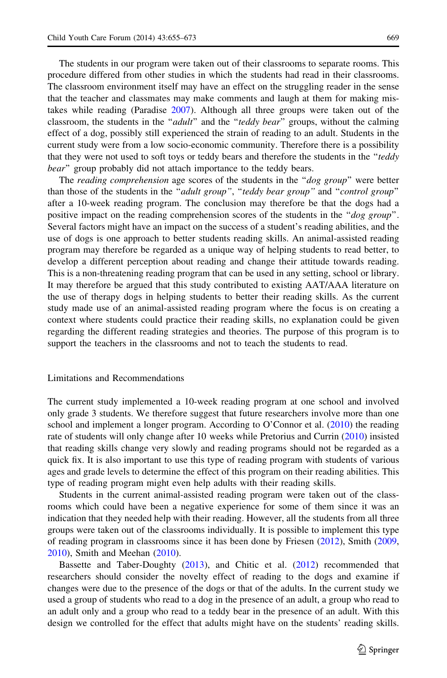The students in our program were taken out of their classrooms to separate rooms. This procedure differed from other studies in which the students had read in their classrooms. The classroom environment itself may have an effect on the struggling reader in the sense that the teacher and classmates may make comments and laugh at them for making mistakes while reading (Paradise [2007](#page-17-0)). Although all three groups were taken out of the classroom, the students in the "adult" and the "teddy bear" groups, without the calming effect of a dog, possibly still experienced the strain of reading to an adult. Students in the current study were from a low socio-economic community. Therefore there is a possibility that they were not used to soft toys or teddy bears and therefore the students in the "teddy" bear" group probably did not attach importance to the teddy bears.

The *reading comprehension* age scores of the students in the "*dog group*" were better than those of the students in the "adult group", "teddy bear group" and "control group" after a 10-week reading program. The conclusion may therefore be that the dogs had a positive impact on the reading comprehension scores of the students in the "dog group". Several factors might have an impact on the success of a student's reading abilities, and the use of dogs is one approach to better students reading skills. An animal-assisted reading program may therefore be regarded as a unique way of helping students to read better, to develop a different perception about reading and change their attitude towards reading. This is a non-threatening reading program that can be used in any setting, school or library. It may therefore be argued that this study contributed to existing AAT/AAA literature on the use of therapy dogs in helping students to better their reading skills. As the current study made use of an animal-assisted reading program where the focus is on creating a context where students could practice their reading skills, no explanation could be given regarding the different reading strategies and theories. The purpose of this program is to support the teachers in the classrooms and not to teach the students to read.

#### Limitations and Recommendations

The current study implemented a 10-week reading program at one school and involved only grade 3 students. We therefore suggest that future researchers involve more than one school and implement a longer program. According to O'Connor et al.  $(2010)$  $(2010)$  the reading rate of students will only change after 10 weeks while Pretorius and Currin [\(2010\)](#page-18-0) insisted that reading skills change very slowly and reading programs should not be regarded as a quick fix. It is also important to use this type of reading program with students of various ages and grade levels to determine the effect of this program on their reading abilities. This type of reading program might even help adults with their reading skills.

Students in the current animal-assisted reading program were taken out of the classrooms which could have been a negative experience for some of them since it was an indication that they needed help with their reading. However, all the students from all three groups were taken out of the classrooms individually. It is possible to implement this type of reading program in classrooms since it has been done by Friesen [\(2012\)](#page-16-0), Smith [\(2009](#page-18-0), [2010\)](#page-18-0), Smith and Meehan ([2010\)](#page-18-0).

Bassette and Taber-Doughty [\(2013\)](#page-15-0), and Chitic et al. [\(2012](#page-15-0)) recommended that researchers should consider the novelty effect of reading to the dogs and examine if changes were due to the presence of the dogs or that of the adults. In the current study we used a group of students who read to a dog in the presence of an adult, a group who read to an adult only and a group who read to a teddy bear in the presence of an adult. With this design we controlled for the effect that adults might have on the students' reading skills.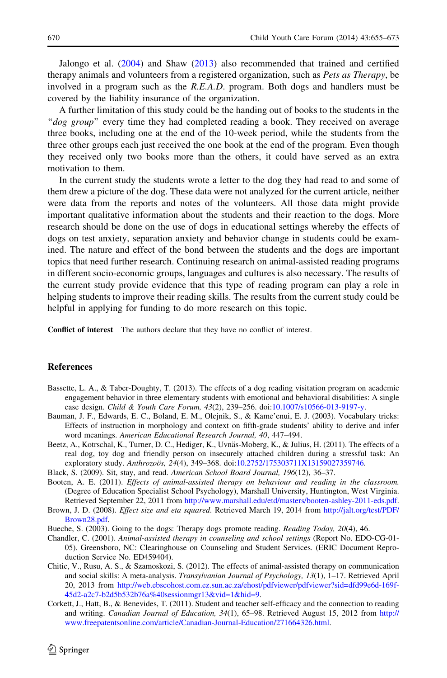<span id="page-15-0"></span>Jalongo et al. [\(2004](#page-17-0)) and Shaw [\(2013](#page-18-0)) also recommended that trained and certified therapy animals and volunteers from a registered organization, such as *Pets as Therapy*, be involved in a program such as the R.E.A.D. program. Both dogs and handlers must be covered by the liability insurance of the organization.

A further limitation of this study could be the handing out of books to the students in the "dog group" every time they had completed reading a book. They received on average three books, including one at the end of the 10-week period, while the students from the three other groups each just received the one book at the end of the program. Even though they received only two books more than the others, it could have served as an extra motivation to them.

In the current study the students wrote a letter to the dog they had read to and some of them drew a picture of the dog. These data were not analyzed for the current article, neither were data from the reports and notes of the volunteers. All those data might provide important qualitative information about the students and their reaction to the dogs. More research should be done on the use of dogs in educational settings whereby the effects of dogs on test anxiety, separation anxiety and behavior change in students could be examined. The nature and effect of the bond between the students and the dogs are important topics that need further research. Continuing research on animal-assisted reading programs in different socio-economic groups, languages and cultures is also necessary. The results of the current study provide evidence that this type of reading program can play a role in helping students to improve their reading skills. The results from the current study could be helpful in applying for funding to do more research on this topic.

Conflict of interest The authors declare that they have no conflict of interest.

## References

- Bassette, L. A., & Taber-Doughty, T. (2013). The effects of a dog reading visitation program on academic engagement behavior in three elementary students with emotional and behavioral disabilities: A single case design. Child & Youth Care Forum, 43(2), 239–256. doi:[10.1007/s10566-013-9197-y](http://dx.doi.org/10.1007/s10566-013-9197-y).
- Bauman, J. F., Edwards, E. C., Boland, E. M., Olejnik, S., & Kame'enui, E. J. (2003). Vocabulary tricks: Effects of instruction in morphology and context on fifth-grade students' ability to derive and infer word meanings. American Educational Research Journal, 40, 447–494.
- Beetz, A., Kotrschal, K., Turner, D. C., Hediger, K., Uvnäs-Moberg, K., & Julius, H. (2011). The effects of a real dog, toy dog and friendly person on insecurely attached children during a stressful task: An exploratory study. Anthrozoös, 24(4), 349–368. doi:[10.2752/175303711X13159027359746.](http://dx.doi.org/10.2752/175303711X13159027359746)
- Black, S. (2009). Sit, stay, and read. American School Board Journal, 196(12), 36–37.
- Booten, A. E. (2011). Effects of animal-assisted therapy on behaviour and reading in the classroom. (Degree of Education Specialist School Psychology), Marshall University, Huntington, West Virginia. Retrieved September 22, 2011 from [http://www.marshall.edu/etd/masters/booten-ashley-2011-eds.pdf.](http://www.marshall.edu/etd/masters/booten-ashley-2011-eds.pdf)
- Brown, J. D. (2008). *Effect size and eta squared*. Retrieved March 19, 2014 from [http://jalt.org/test/PDF/](http://jalt.org/test/PDF/Brown28.pdf) [Brown28.pdf.](http://jalt.org/test/PDF/Brown28.pdf)
- Bueche, S. (2003). Going to the dogs: Therapy dogs promote reading. Reading Today, 20(4), 46.
- Chandler, C. (2001). Animal-assisted therapy in counseling and school settings (Report No. EDO-CG-01- 05). Greensboro, NC: Clearinghouse on Counseling and Student Services. (ERIC Document Reproduction Service No. ED459404).
- Chitic, V., Rusu, A. S., & Szamoskozi, S. (2012). The effects of animal-assisted therapy on communication and social skills: A meta-analysis. Transylvanian Journal of Psychology, 13(1), 1–17. Retrieved April 20, 2013 from [http://web.ebscohost.com.ez.sun.ac.za/ehost/pdfviewer/pdfviewer?sid=dfd99e6d-169f-](http://web.ebscohost.com.ez.sun.ac.za/ehost/pdfviewer/pdfviewer?sid=dfd99e6d-169f-45d2-a2c7-b2d5b532b76a%40sessionmgr13&vid=1&hid=9)[45d2-a2c7-b2d5b532b76a%40sessionmgr13&vid=1&hid=9](http://web.ebscohost.com.ez.sun.ac.za/ehost/pdfviewer/pdfviewer?sid=dfd99e6d-169f-45d2-a2c7-b2d5b532b76a%40sessionmgr13&vid=1&hid=9).
- Corkett, J., Hatt, B., & Benevides, T. (2011). Student and teacher self-efficacy and the connection to reading and writing. Canadian Journal of Education, 34(1), 65–98. Retrieved August 15, 2012 from [http://](http://www.freepatentsonline.com/article/Canadian-Journal-Education/271664326.html) [www.freepatentsonline.com/article/Canadian-Journal-Education/271664326.html.](http://www.freepatentsonline.com/article/Canadian-Journal-Education/271664326.html)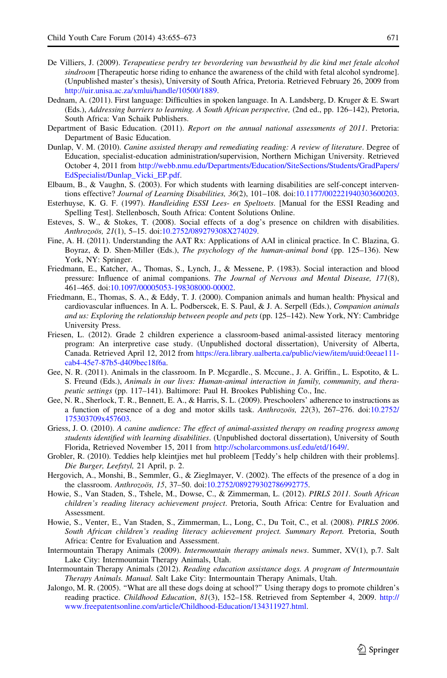- <span id="page-16-0"></span>De Villiers, J. (2009). Terapeutiese perdry ter bevordering van bewustheid by die kind met fetale alcohol sindroom [Therapeutic horse riding to enhance the awareness of the child with fetal alcohol syndrome]. (Unpublished master's thesis), University of South Africa, Pretoria. Retrieved February 26, 2009 from <http://uir.unisa.ac.za/xmlui/handle/10500/1889>.
- Dednam, A. (2011). First language: Difficulties in spoken language. In A. Landsberg, D. Kruger & E. Swart (Eds.), Addressing barriers to learning. A South African perspective, (2nd ed., pp. 126–142), Pretoria, South Africa: Van Schaik Publishers.
- Department of Basic Education. (2011). Report on the annual national assessments of 2011. Pretoria: Department of Basic Education.
- Dunlap, V. M. (2010). *Canine assisted therapy and remediating reading: A review of literature*. Degree of Education, specialist-education administration/supervision, Northern Michigan University. Retrieved October 4, 2011 from [http://webb.nmu.edu/Departments/Education/SiteSections/Students/GradPapers/](http://webb.nmu.edu/Departments/Education/SiteSections/Students/GradPapers/EdSpecialist/Dunlap_Vicki_EP.pdf) [EdSpecialist/Dunlap\\_Vicki\\_EP.pdf.](http://webb.nmu.edu/Departments/Education/SiteSections/Students/GradPapers/EdSpecialist/Dunlap_Vicki_EP.pdf)
- Elbaum, B., & Vaughn, S. (2003). For which students with learning disabilities are self-concept interventions effective? Journal of Learning Disabilities, 36(2), 101–108. doi[:10.1177/002221940303600203.](http://dx.doi.org/10.1177/002221940303600203)
- Esterhuyse, K. G. F. (1997). Handleiding ESSI Lees- en Speltoets. [Manual for the ESSI Reading and Spelling Test]. Stellenbosch, South Africa: Content Solutions Online.
- Esteves, S. W., & Stokes, T. (2008). Social effects of a dog's presence on children with disabilities. Anthrozoös, 21(1), 5-15. doi[:10.2752/089279308X274029.](http://dx.doi.org/10.2752/089279308X274029)
- Fine, A. H. (2011). Understanding the AAT Rx: Applications of AAI in clinical practice. In C. Blazina, G. Boyraz, & D. Shen-Miller (Eds.), The psychology of the human-animal bond (pp. 125–136). New York, NY: Springer.
- Friedmann, E., Katcher, A., Thomas, S., Lynch, J., & Messene, P. (1983). Social interaction and blood pressure: Influence of animal companions. The Journal of Nervous and Mental Disease, 171(8), 461–465. doi:[10.1097/00005053-198308000-00002](http://dx.doi.org/10.1097/00005053-198308000-00002).
- Friedmann, E., Thomas, S. A., & Eddy, T. J. (2000). Companion animals and human health: Physical and cardiovascular influences. In A. L. Podberscek, E. S. Paul, & J. A. Serpell (Eds.), Companion animals and us: Exploring the relationship between people and pets (pp. 125–142). New York, NY: Cambridge University Press.
- Friesen, L. (2012). Grade 2 children experience a classroom-based animal-assisted literacy mentoring program: An interpretive case study. (Unpublished doctoral dissertation), University of Alberta, Canada. Retrieved April 12, 2012 from [https://era.library.ualberta.ca/public/view/item/uuid:0eeae111](https://era.library.ualberta.ca/public/view/item/uuid:0eeae111-cab4-45e7-87b5-d409bec18f6a) [cab4-45e7-87b5-d409bec18f6a](https://era.library.ualberta.ca/public/view/item/uuid:0eeae111-cab4-45e7-87b5-d409bec18f6a).
- Gee, N. R. (2011). Animals in the classroom. In P. Mcgardle., S. Mccune., J. A. Griffin., L. Espotito, & L. S. Freund (Eds.), Animals in our lives: Human-animal interaction in family, community, and therapeutic settings (pp. 117–141). Baltimore: Paul H. Brookes Publishing Co., Inc.
- Gee, N. R., Sherlock, T. R., Bennett, E. A., & Harris, S. L. (2009). Preschoolers' adherence to instructions as a function of presence of a dog and motor skills task. Anthrozoois,  $22(3)$ ,  $267-276$ . doi:[10.2752/](http://dx.doi.org/10.2752/175303709x457603) [175303709x457603](http://dx.doi.org/10.2752/175303709x457603).
- Griess, J. O. (2010). A canine audience: The effect of animal-assisted therapy on reading progress among students identified with learning disabilities. (Unpublished doctoral dissertation), University of South Florida, Retrieved November 15, 2011 from <http://scholarcommons.usf.edu/etd/1649/>.
- Grobler, R. (2010). Teddies help kleintjies met hul probleem [Teddy's help children with their problems]. Die Burger, Leefstyl, 21 April, p. 2.
- Hergovich, A., Monshi, B., Semmler, G., & Zieglmayer, V. (2002). The effects of the presence of a dog in the classroom. Anthrozoos, 15, 37-50. doi[:10.2752/089279302786992775](http://dx.doi.org/10.2752/089279302786992775).
- Howie, S., Van Staden, S., Tshele, M., Dowse, C., & Zimmerman, L. (2012). PIRLS 2011. South African children's reading literacy achievement project. Pretoria, South Africa: Centre for Evaluation and Assessment.
- Howie, S., Venter, E., Van Staden, S., Zimmerman, L., Long, C., Du Toit, C., et al. (2008). PIRLS 2006. South African children's reading literacy achievement project. Summary Report. Pretoria, South Africa: Centre for Evaluation and Assessment.
- Intermountain Therapy Animals (2009). Intermountain therapy animals news. Summer, XV(1), p.7. Salt Lake City: Intermountain Therapy Animals, Utah.
- Intermountain Therapy Animals (2012). Reading education assistance dogs. A program of Intermountain Therapy Animals. Manual. Salt Lake City: Intermountain Therapy Animals, Utah.
- Jalongo, M. R. (2005). ''What are all these dogs doing at school?'' Using therapy dogs to promote children's reading practice. Childhood Education, 81(3), 152–158. Retrieved from September 4, 2009. [http://](http://www.freepatentsonline.com/article/Childhood-Education/134311927.html) [www.freepatentsonline.com/article/Childhood-Education/134311927.html](http://www.freepatentsonline.com/article/Childhood-Education/134311927.html).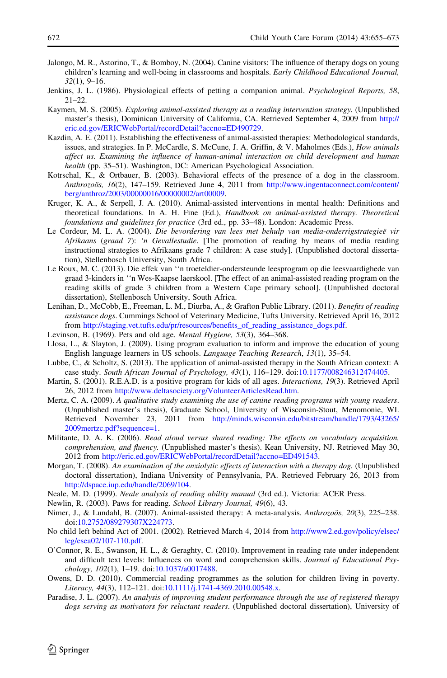- <span id="page-17-0"></span>Jalongo, M. R., Astorino, T., & Bomboy, N. (2004). Canine visitors: The influence of therapy dogs on young children's learning and well-being in classrooms and hospitals. Early Childhood Educational Journal, 32(1), 9–16.
- Jenkins, J. L. (1986). Physiological effects of petting a companion animal. *Psychological Reports*, 58, 21–22.
- Kaymen, M. S. (2005). Exploring animal-assisted therapy as a reading intervention strategy. (Unpublished master's thesis), Dominican University of California, CA. Retrieved September 4, 2009 from [http://](http://eric.ed.gov/ERICWebPortal/recordDetail?accno=ED490729) [eric.ed.gov/ERICWebPortal/recordDetail?accno=ED490729.](http://eric.ed.gov/ERICWebPortal/recordDetail?accno=ED490729)
- Kazdin, A. E. (2011). Establishing the effectiveness of animal-assisted therapies: Methodological standards, issues, and strategies. In P. McCardle, S. McCune, J. A. Griffin, & V. Maholmes (Eds.), How animals affect us. Examining the influence of human-animal interaction on child development and human health (pp. 35–51). Washington, DC: American Psychological Association.
- Kotrschal, K., & Ortbauer, B. (2003). Behavioral effects of the presence of a dog in the classroom. Anthrozoös, 16(2), 147–159. Retrieved June 4, 2011 from [http://www.ingentaconnect.com/content/](http://www.ingentaconnect.com/content/berg/anthroz/2003/00000016/00000002/art00009) [berg/anthroz/2003/00000016/00000002/art00009.](http://www.ingentaconnect.com/content/berg/anthroz/2003/00000016/00000002/art00009)
- Kruger, K. A., & Serpell, J. A. (2010). Animal-assisted interventions in mental health: Definitions and theoretical foundations. In A. H. Fine (Ed.), Handbook on animal-assisted therapy. Theoretical foundations and guidelines for practice (3rd ed., pp. 33–48). London: Academic Press.
- Le Cordeur, M. L. A. (2004). Die bevordering van lees met behulp van media-onderrigstrategieë vir Afrikaans (graad 7): 'n Gevallestudie. [The promotion of reading by means of media reading instructional strategies to Afrikaans grade 7 children: A case study]. (Unpublished doctoral dissertation), Stellenbosch University, South Africa.
- Le Roux, M. C. (2013). Die effek van ''n troeteldier-ondersteunde leesprogram op die leesvaardighede van graad 3-kinders in ''n Wes-Kaapse laerskool. [The effect of an animal-assisted reading program on the reading skills of grade 3 children from a Western Cape primary school]. (Unpublished doctoral dissertation), Stellenbosch University, South Africa.
- Lenihan, D., McCobb, E., Freeman, L. M., Diurba, A., & Grafton Public Library. (2011). Benefits of reading assistance dogs. Cummings School of Veterinary Medicine, Tufts University. Retrieved April 16, 2012 from [http://staging.vet.tufts.edu/pr/resources/benefits\\_of\\_reading\\_assistance\\_dogs.pdf](http://staging.vet.tufts.edu/pr/resources/benefits_of_reading_assistance_dogs.pdf).
- Levinson, B. (1969). Pets and old age. Mental Hygiene, 53(3), 364–368.
- Llosa, L., & Slayton, J. (2009). Using program evaluation to inform and improve the education of young English language learners in US schools. Language Teaching Research, 13(1), 35–54.
- Lubbe, C., & Scholtz, S. (2013). The application of animal-assisted therapy in the South African context: A case study. South African Journal of Psychology, 43(1), 116–129. doi:[10.1177/008246312474405](http://dx.doi.org/10.1177/008246312474405).
- Martin, S. (2001). R.E.A.D. is a positive program for kids of all ages. *Interactions*, 19(3). Retrieved April 26, 2012 from <http://www.deltasociety.org/VolunteerArticlesRead.htm>.
- Mertz, C. A. (2009). A qualitative study examining the use of canine reading programs with young readers. (Unpublished master's thesis), Graduate School, University of Wisconsin-Stout, Menomonie, WI. Retrieved November 23, 2011 from [http://minds.wisconsin.edu/bitstream/handle/1793/43265/](http://minds.wisconsin.edu/bitstream/handle/1793/43265/2009mertzc.pdf?sequence=1) [2009mertzc.pdf?sequence=1](http://minds.wisconsin.edu/bitstream/handle/1793/43265/2009mertzc.pdf?sequence=1).
- Militante, D. A. K. (2006). Read aloud versus shared reading: The effects on vocabulary acquisition, comprehension, and fluency. (Unpublished master's thesis). Kean University, NJ. Retrieved May 30, 2012 from [http://eric.ed.gov/ERICWebPortal/recordDetail?accno=ED491543.](http://eric.ed.gov/ERICWebPortal/recordDetail?accno=ED491543)
- Morgan, T. (2008). An examination of the anxiolytic effects of interaction with a therapy dog. (Unpublished doctoral dissertation), Indiana University of Pennsylvania, PA. Retrieved February 26, 2013 from <http://dspace.iup.edu/handle/2069/104>.
- Neale, M. D. (1999). Neale analysis of reading ability manual (3rd ed.). Victoria: ACER Press.
- Newlin, R. (2003). Paws for reading. School Library Journal, 49(6), 43.
- Nimer, J., & Lundahl, B. (2007). Animal-assisted therapy: A meta-analysis. Anthrozoös, 20(3), 225–238. doi[:10.2752/089279307X224773.](http://dx.doi.org/10.2752/089279307X224773)
- No child left behind Act of 2001. (2002). Retrieved March 4, 2014 from [http://www2.ed.gov/policy/elsec/](http://www2.ed.gov/policy/elsec/leg/esea02/107-110.pdf) [leg/esea02/107-110.pdf.](http://www2.ed.gov/policy/elsec/leg/esea02/107-110.pdf)
- O'Connor, R. E., Swanson, H. L., & Geraghty, C. (2010). Improvement in reading rate under independent and difficult text levels: Influences on word and comprehension skills. Journal of Educational Psychology, 102(1), 1–19. doi[:10.1037/a0017488.](http://dx.doi.org/10.1037/a0017488)
- Owens, D. D. (2010). Commercial reading programmes as the solution for children living in poverty. Literacy, 44(3), 112-121. doi:[10.1111/j.1741-4369.2010.00548.x](http://dx.doi.org/10.1111/j.1741-4369.2010.00548.x).
- Paradise, J. L. (2007). An analysis of improving student performance through the use of registered therapy dogs serving as motivators for reluctant readers. (Unpublished doctoral dissertation), University of